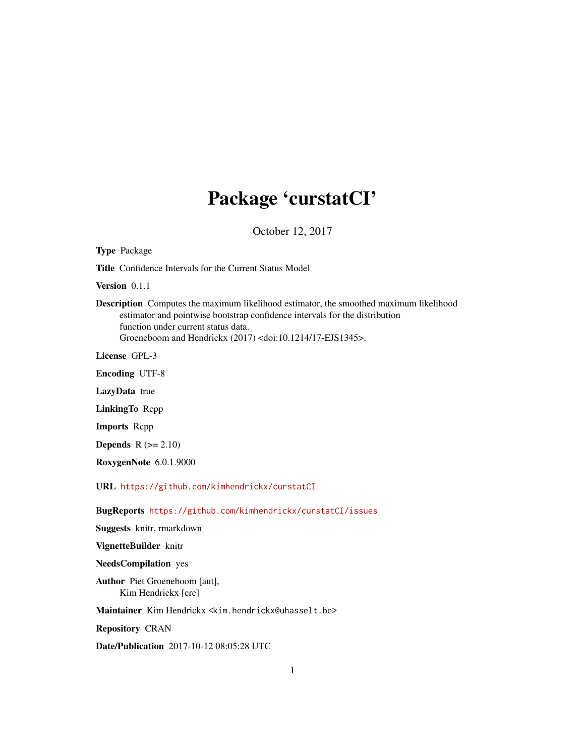# Package 'curstatCI'

October 12, 2017

Type Package Title Confidence Intervals for the Current Status Model Version 0.1.1 Description Computes the maximum likelihood estimator, the smoothed maximum likelihood estimator and pointwise bootstrap confidence intervals for the distribution function under current status data. Groeneboom and Hendrickx (2017) <doi:10.1214/17-EJS1345>. License GPL-3 Encoding UTF-8 LazyData true LinkingTo Rcpp Imports Rcpp **Depends**  $R$  ( $>= 2.10$ ) RoxygenNote 6.0.1.9000 URL <https://github.com/kimhendrickx/curstatCI> BugReports <https://github.com/kimhendrickx/curstatCI/issues> Suggests knitr, rmarkdown VignetteBuilder knitr NeedsCompilation yes Author Piet Groeneboom [aut], Kim Hendrickx [cre] Maintainer Kim Hendrickx <kim.hendrickx@uhasselt.be> Repository CRAN Date/Publication 2017-10-12 08:05:28 UTC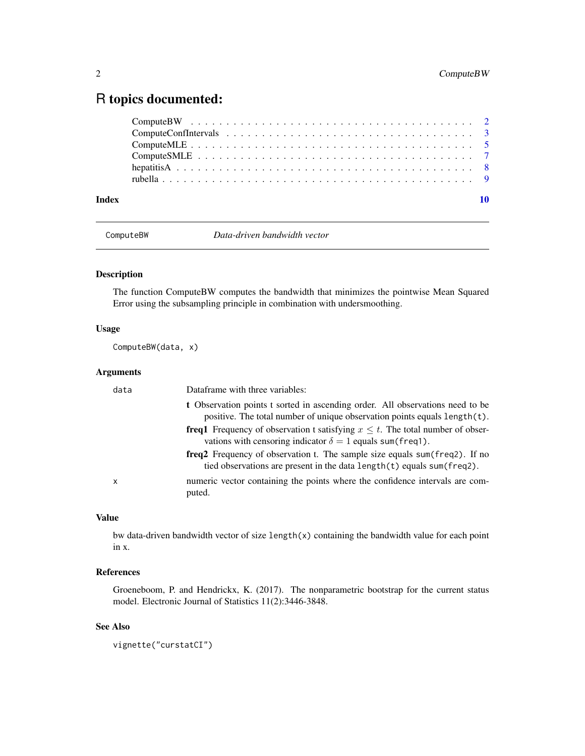# <span id="page-1-0"></span>R topics documented:

| Index |  |
|-------|--|

<span id="page-1-1"></span>

ComputeBW *Data-driven bandwidth vector*

# Description

The function ComputeBW computes the bandwidth that minimizes the pointwise Mean Squared Error using the subsampling principle in combination with undersmoothing.

# Usage

ComputeBW(data, x)

# Arguments

| data | Dataframe with three variables:                                                                                                                                |
|------|----------------------------------------------------------------------------------------------------------------------------------------------------------------|
|      | t Observation points t sorted in ascending order. All observations need to be<br>positive. The total number of unique observation points equals length(t).     |
|      | <b>freq1</b> Frequency of observation t satisfying $x \leq t$ . The total number of obser-<br>vations with censoring indicator $\delta = 1$ equals sum(freq1). |
|      | freq2 Frequency of observation t. The sample size equals sum(freq2). If no<br>tied observations are present in the data length(t) equals sum(freq2).           |
| x    | numeric vector containing the points where the confidence intervals are com-<br>puted.                                                                         |

#### Value

bw data-driven bandwidth vector of size length(x) containing the bandwidth value for each point in x.

# References

Groeneboom, P. and Hendrickx, K. (2017). The nonparametric bootstrap for the current status model. Electronic Journal of Statistics 11(2):3446-3848.

## See Also

vignette("curstatCI")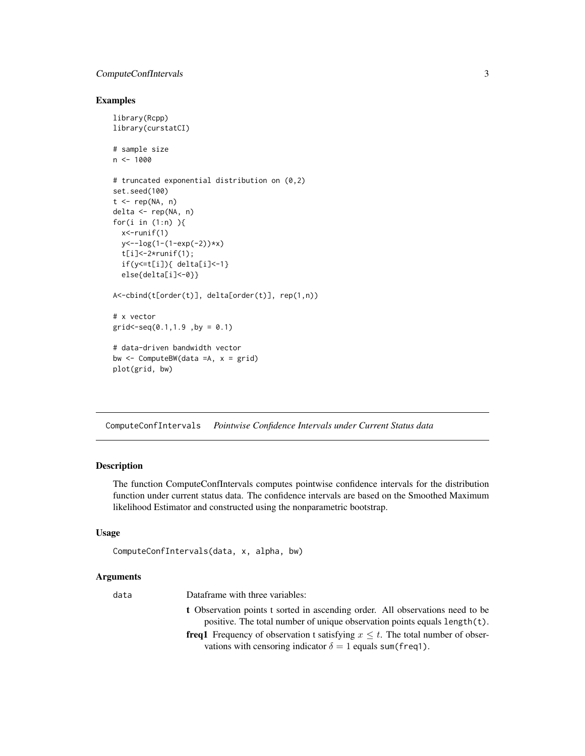# <span id="page-2-0"></span>ComputeConfIntervals 3

# Examples

```
library(Rcpp)
library(curstatCI)
# sample size
n < -1000# truncated exponential distribution on (0,2)
set.seed(100)
t < - rep(NA, n)delta <- rep(NA, n)
for(i in (1:n)){
  x<-runif(1)
  y<--log(1-(1-exp(-2))*x)
  t[i]<-2*runif(1);if(y<=t[i]){ delta[i]<-1}
  else{delta[i]<-0}}
A<-cbind(t[order(t)], delta[order(t)], rep(1,n))
# x vector
grid < -seq(0.1, 1.9, by = 0.1)# data-driven bandwidth vector
bw \leq ComputeBW(data =A, x = grid)
plot(grid, bw)
```
<span id="page-2-1"></span>ComputeConfIntervals *Pointwise Confidence Intervals under Current Status data*

# Description

The function ComputeConfIntervals computes pointwise confidence intervals for the distribution function under current status data. The confidence intervals are based on the Smoothed Maximum likelihood Estimator and constructed using the nonparametric bootstrap.

# Usage

```
ComputeConfIntervals(data, x, alpha, bw)
```
# Arguments

| data | Dataframe with three variables:                                                                                                                            |
|------|------------------------------------------------------------------------------------------------------------------------------------------------------------|
|      | t Observation points t sorted in ascending order. All observations need to be<br>positive. The total number of unique observation points equals length(t). |
|      | <b>freq1</b> Frequency of observation t satisfying $x \leq t$ . The total number of obser-                                                                 |
|      | vations with censoring indicator $\delta = 1$ equals sum(freq.).                                                                                           |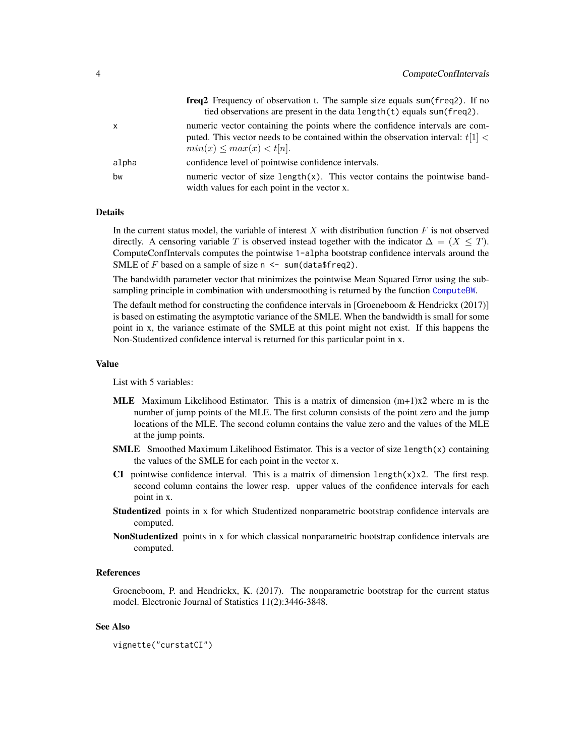<span id="page-3-0"></span>

|              | freq 2 Frequency of observation t. The sample size equals sum (freq 2). If no<br>tied observations are present in the data length(t) equals sum(freq2).                                            |
|--------------|----------------------------------------------------------------------------------------------------------------------------------------------------------------------------------------------------|
| $\mathsf{x}$ | numeric vector containing the points where the confidence intervals are com-<br>puted. This vector needs to be contained within the observation interval: $t[1]$ <<br>$min(x) \leq max(x) < t[n].$ |
| alpha        | confidence level of pointwise confidence intervals.                                                                                                                                                |
| bw           | numeric vector of size length $(x)$ . This vector contains the pointwise band-<br>width values for each point in the vector x.                                                                     |

# **Details**

In the current status model, the variable of interest  $X$  with distribution function  $F$  is not observed directly. A censoring variable T is observed instead together with the indicator  $\Delta = (X \leq T)$ . ComputeConfIntervals computes the pointwise 1-alpha bootstrap confidence intervals around the SMLE of F based on a sample of size  $n \le -$  sum(data\$freq2).

The bandwidth parameter vector that minimizes the pointwise Mean Squared Error using the subsampling principle in combination with undersmoothing is returned by the function [ComputeBW](#page-1-1).

The default method for constructing the confidence intervals in [Groeneboom & Hendrickx (2017)] is based on estimating the asymptotic variance of the SMLE. When the bandwidth is small for some point in x, the variance estimate of the SMLE at this point might not exist. If this happens the Non-Studentized confidence interval is returned for this particular point in x.

#### Value

List with 5 variables:

- **MLE** Maximum Likelihood Estimator. This is a matrix of dimension  $(m+1)x2$  where m is the number of jump points of the MLE. The first column consists of the point zero and the jump locations of the MLE. The second column contains the value zero and the values of the MLE at the jump points.
- **SMLE** Smoothed Maximum Likelihood Estimator. This is a vector of size length $(x)$  containing the values of the SMLE for each point in the vector x.
- CI pointwise confidence interval. This is a matrix of dimension length $(x)$ x2. The first resp. second column contains the lower resp. upper values of the confidence intervals for each point in x.
- **Studentized** points in x for which Studentized nonparametric bootstrap confidence intervals are computed.
- NonStudentized points in x for which classical nonparametric bootstrap confidence intervals are computed.

# References

Groeneboom, P. and Hendrickx, K. (2017). The nonparametric bootstrap for the current status model. Electronic Journal of Statistics 11(2):3446-3848.

#### See Also

```
vignette("curstatCI")
```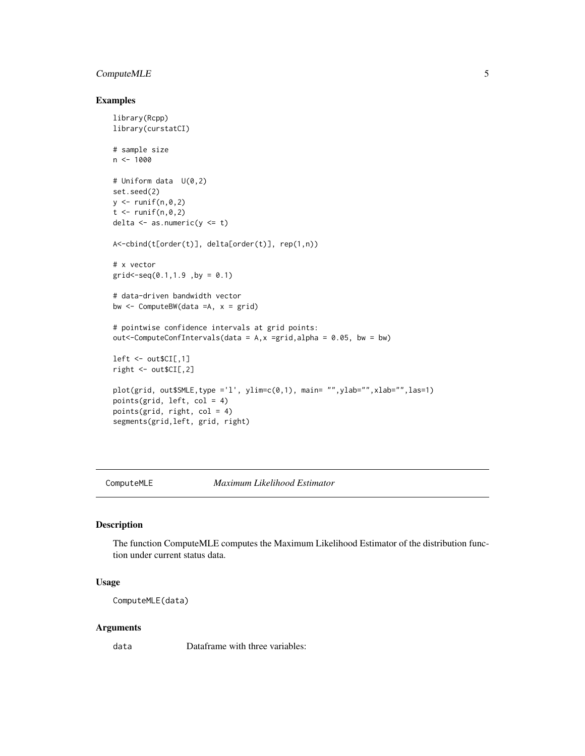## <span id="page-4-0"></span>Compute MLE 5

# Examples

```
library(Rcpp)
library(curstatCI)
# sample size
n < - 1000# Uniform data U(0,2)
set.seed(2)
y \leftarrow runif(n, \emptyset, 2)t < - runif(n,0,2)
delta \leq as.numeric(y \leq t)
A<-cbind(t[order(t)], delta[order(t)], rep(1,n))
# x vector
grid < -seq(0.1, 1.9, by = 0.1)# data-driven bandwidth vector
bw \leq ComputeBW(data =A, x = grid)
# pointwise confidence intervals at grid points:
out <- Compute ConfIntervals (data = A, x =grid, alpha = 0.05, bw = bw)
left < - out$CI[,1]
right <- out$CI[,2]
plot(grid, out$SMLE,type ='l', ylim=c(0,1), main= "",ylab="",xlab="",las=1)
points(grid, left, col = 4)
points(grid, right, col = 4)
segments(grid,left, grid, right)
```
ComputeMLE *Maximum Likelihood Estimator*

# Description

The function ComputeMLE computes the Maximum Likelihood Estimator of the distribution function under current status data.

#### Usage

ComputeMLE(data)

#### Arguments

data Dataframe with three variables: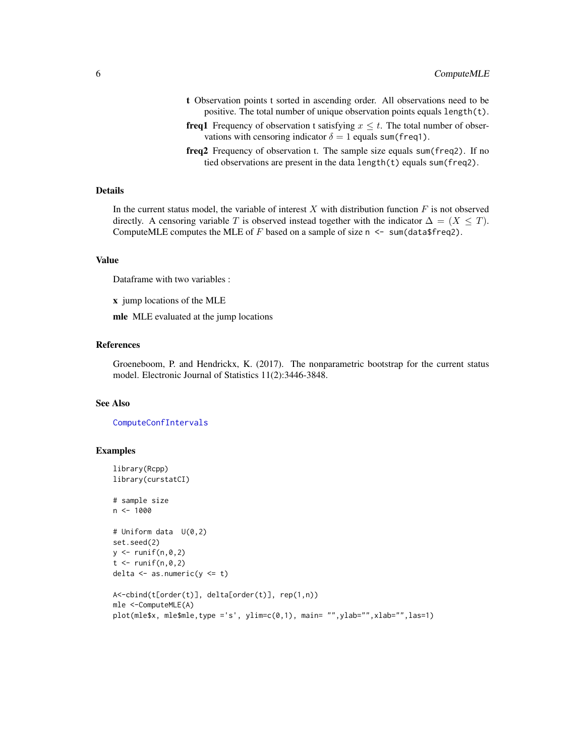- <span id="page-5-0"></span>t Observation points t sorted in ascending order. All observations need to be positive. The total number of unique observation points equals length(t).
- **freq1** Frequency of observation t satisfying  $x \leq t$ . The total number of observations with censoring indicator  $\delta = 1$  equals sum(freq1).
- freq2 Frequency of observation t. The sample size equals sum(freq2). If no tied observations are present in the data length(t) equals sum(freq2).

# Details

In the current status model, the variable of interest  $X$  with distribution function  $F$  is not observed directly. A censoring variable T is observed instead together with the indicator  $\Delta = (X \leq T)$ . ComputeMLE computes the MLE of  $F$  based on a sample of size  $n \leq sum(data$ freq2).

#### Value

Dataframe with two variables :

x jump locations of the MLE

mle MLE evaluated at the jump locations

#### References

Groeneboom, P. and Hendrickx, K. (2017). The nonparametric bootstrap for the current status model. Electronic Journal of Statistics 11(2):3446-3848.

# See Also

[ComputeConfIntervals](#page-2-1)

#### Examples

```
library(Rcpp)
library(curstatCI)
# sample size
n < -1000# Uniform data U(0,2)
set.seed(2)
y \leftarrow runif(n, 0, 2)t < - runif(n,0,2)
delta \leq as.numeric(y \leq t)
A<-cbind(t[order(t)], delta[order(t)], rep(1,n))
mle <-ComputeMLE(A)
plot(mle$x, mle$mle,type ='s', ylim=c(0,1), main= "",ylab="",xlab="",las=1)
```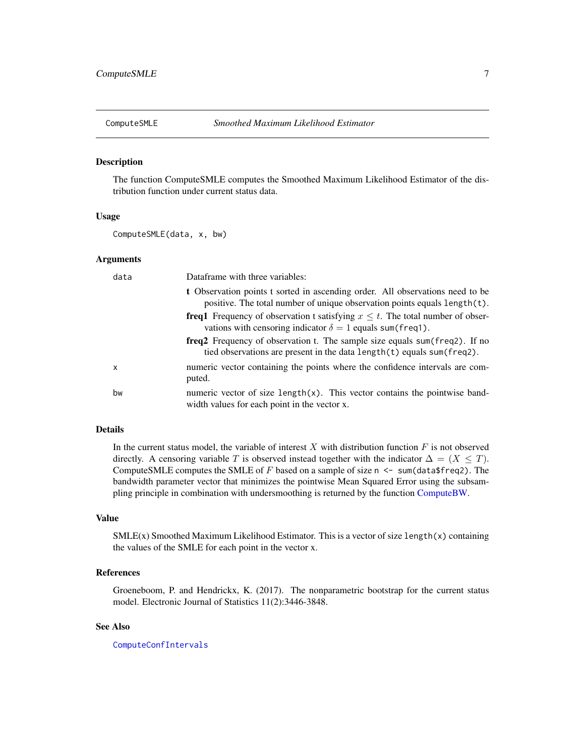<span id="page-6-0"></span>

#### Description

The function ComputeSMLE computes the Smoothed Maximum Likelihood Estimator of the distribution function under current status data.

#### Usage

ComputeSMLE(data, x, bw)

#### Arguments

| data | Dataframe with three variables:                                                                                                                                   |
|------|-------------------------------------------------------------------------------------------------------------------------------------------------------------------|
|      | <b>t</b> Observation points t sorted in ascending order. All observations need to be<br>positive. The total number of unique observation points equals length(t). |
|      | <b>freq1</b> Frequency of observation t satisfying $x \leq t$ . The total number of obser-<br>vations with censoring indicator $\delta = 1$ equals sum(freq.).    |
|      | <b>freq2</b> Frequency of observation t. The sample size equals sum (freq2). If no<br>tied observations are present in the data $length(t)$ equals sum (freq2).   |
| x    | numeric vector containing the points where the confidence intervals are com-<br>puted.                                                                            |
| bw   | numeric vector of size $length(x)$ . This vector contains the pointwise band-<br>width values for each point in the vector x.                                     |

# Details

In the current status model, the variable of interest  $X$  with distribution function  $F$  is not observed directly. A censoring variable T is observed instead together with the indicator  $\Delta = (X \leq T)$ . ComputeSMLE computes the SMLE of  $F$  based on a sample of size n  $\leq$  sum(data\$freq2). The bandwidth parameter vector that minimizes the pointwise Mean Squared Error using the subsampling principle in combination with undersmoothing is returned by the function [ComputeBW.](#page-1-1)

### Value

 $SMLE(x)$  Smoothed Maximum Likelihood Estimator. This is a vector of size length(x) containing the values of the SMLE for each point in the vector x.

# References

Groeneboom, P. and Hendrickx, K. (2017). The nonparametric bootstrap for the current status model. Electronic Journal of Statistics 11(2):3446-3848.

## See Also

[ComputeConfIntervals](#page-2-1)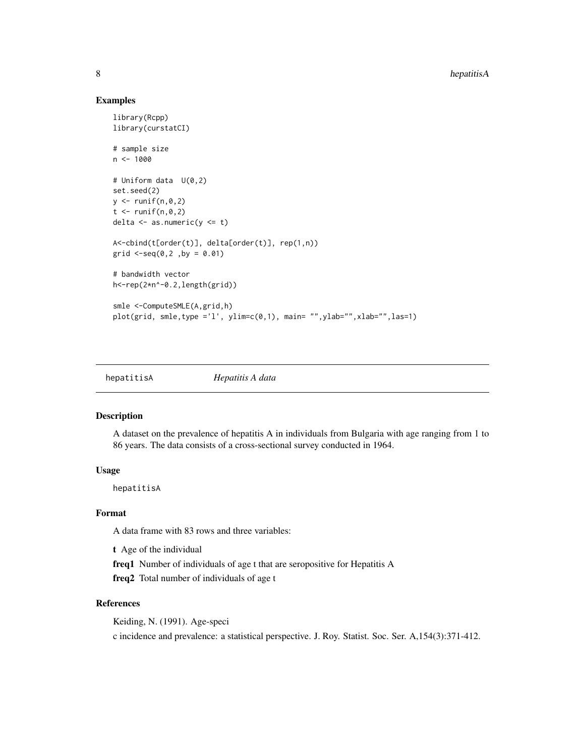#### Examples

```
library(Rcpp)
library(curstatCI)
# sample size
n < - 1000# Uniform data U(0,2)
set.seed(2)
y \leftarrow runif(n, \emptyset, 2)t < - runif(n,0,2)
delta \leq as.numeric(y \leq t)
A<-cbind(t[order(t)], delta[order(t)], rep(1,n))
grid \leq-seq(0,2, by = 0.01)
# bandwidth vector
h<-rep(2*n^-0.2,length(grid))
smle <-ComputeSMLE(A,grid,h)
plot(grid, smle, type = 'l', ylim=c(0,1), main= ''', ylab=''', xlab=''', las=1)
```

| hepatitisA | Hepatitis A data |  |
|------------|------------------|--|
|            |                  |  |

#### Description

A dataset on the prevalence of hepatitis A in individuals from Bulgaria with age ranging from 1 to 86 years. The data consists of a cross-sectional survey conducted in 1964.

#### Usage

hepatitisA

# Format

A data frame with 83 rows and three variables:

t Age of the individual

freq1 Number of individuals of age t that are seropositive for Hepatitis A

freq2 Total number of individuals of age t

# References

Keiding, N. (1991). Age-speci

c incidence and prevalence: a statistical perspective. J. Roy. Statist. Soc. Ser. A,154(3):371-412.

<span id="page-7-0"></span>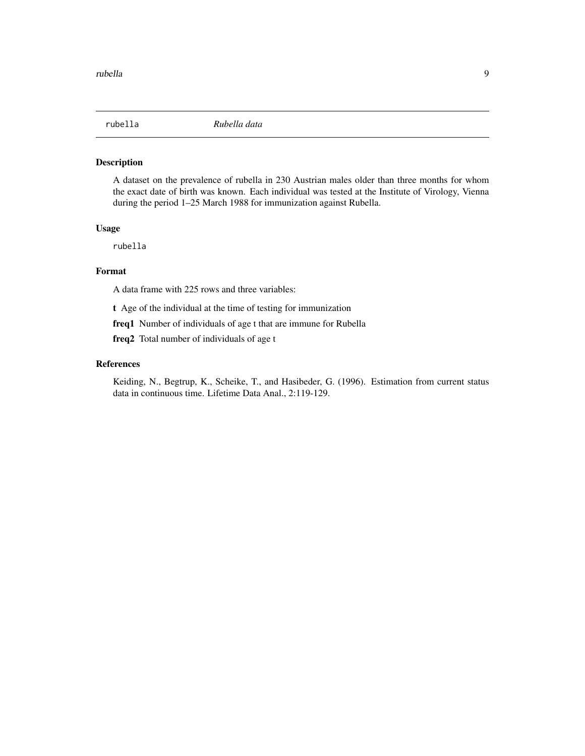<span id="page-8-0"></span>

# Description

A dataset on the prevalence of rubella in 230 Austrian males older than three months for whom the exact date of birth was known. Each individual was tested at the Institute of Virology, Vienna during the period 1–25 March 1988 for immunization against Rubella.

# Usage

rubella

# Format

A data frame with 225 rows and three variables:

t Age of the individual at the time of testing for immunization

freq1 Number of individuals of age t that are immune for Rubella

freq2 Total number of individuals of age t

# References

Keiding, N., Begtrup, K., Scheike, T., and Hasibeder, G. (1996). Estimation from current status data in continuous time. Lifetime Data Anal., 2:119-129.